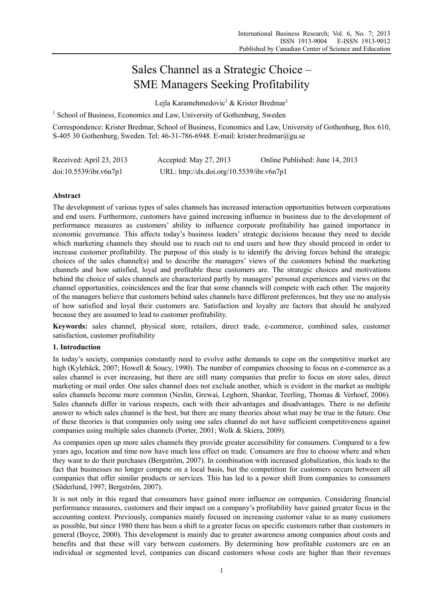# Sales Channel as a Strategic Choice – SME Managers Seeking Profitability

Lejla Karamehmedovic<sup>1</sup> & Krister Bredmar<sup>1</sup>

<sup>1</sup> School of Business, Economics and Law, University of Gothenburg, Sweden

Correspondence: Krister Bredmar, School of Business, Economics and Law, University of Gothenburg, Box 610, S-405 30 Gothenburg, Sweden. Tel:  $46-31-786-6948$ . E-mail: krister.bredmar@gu.se

| Received: April 23, 2013 | Accepted: May $27, 2013$                  | Online Published: June 14, 2013 |
|--------------------------|-------------------------------------------|---------------------------------|
| doi:10.5539/ibr.v6n7p1   | URL: http://dx.doi.org/10.5539/ibr.v6n7p1 |                                 |

## **Abstract**

The development of various types of sales channels has increased interaction opportunities between corporations and end users. Furthermore, customers have gained increasing influence in business due to the development of performance measures as customers' ability to influence corporate profitability has gained importance in economic governance. This affects today's business leaders' strategic decisions because they need to decide which marketing channels they should use to reach out to end users and how they should proceed in order to increase customer profitability. The purpose of this study is to identify the driving forces behind the strategic choices of the sales channel(s) and to describe the managers' views of the customers behind the marketing channels and how satisfied, loyal and profitable these customers are. The strategic choices and motivations behind the choice of sales channels are characterized partly by managers' personal experiences and views on the channel opportunities, coincidences and the fear that some channels will compete with each other. The majority of the managers believe that customers behind sales channels have different preferences, but they use no analysis of how satisfied and loyal their customers are. Satisfaction and loyalty are factors that should be analyzed because they are assumed to lead to customer profitability.

**Keywords:** sales channel, physical store, retailers, direct trade, e-commerce, combined sales, customer satisfaction, customer profitability

## **1. Introduction**

In today's society, companies constantly need to evolve asthe demands to cope on the competitive market are high (Kylebäck, 2007; Howell & Soucy, 1990). The number of companies choosing to focus on e-commerce as a sales channel is ever increasing, but there are still many companies that prefer to focus on store sales, direct marketing or mail order. One sales channel does not exclude another, which is evident in the market as multiple sales channels become more common (Neslin, Grewai, Leghorn, Shankar, Teerling, Thomas & Verhoef, 2006). Sales channels differ in various respects, each with their advantages and disadvantages. There is no definite answer to which sales channel is the best, but there are many theories about what may be true in the future. One of these theories is that companies only using one sales channel do not have sufficient competitiveness against companies using multiple sales channels (Porter, 2001; Wolk & Skiera, 2009).

As companies open up more sales channels they provide greater accessibility for consumers. Compared to a few years ago, location and time now have much less effect on trade. Consumers are free to choose where and when they want to do their purchases (Bergström, 2007). In combination with increased globalization, this leads to the fact that businesses no longer compete on a local basis, but the competition for customers occurs between all companies that offer similar products or services. This has led to a power shift from companies to consumers (Söderlund, 1997; Bergström, 2007).

It is not only in this regard that consumers have gained more influence on companies. Considering financial performance measures, customers and their impact on a company's profitability have gained greater focus in the accounting context. Previously, companies mainly focused on increasing customer value to as many customers as possible, but since 1980 there has been a shift to a greater focus on specific customers rather than customers in general (Boyce, 2000). This development is mainly due to greater awareness among companies about costs and benefits and that these will vary between customers. By determining how profitable customers are on an individual or segmented level, companies can discard customers whose costs are higher than their revenues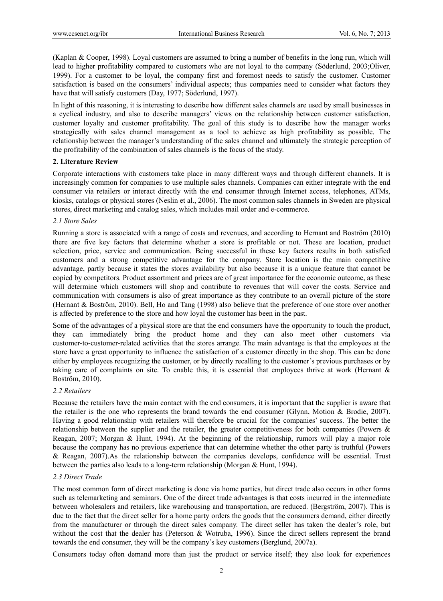(Kaplan & Cooper, 1998). Loyal customers are assumed to bring a number of benefits in the long run, which will lead to higher profitability compared to customers who are not loyal to the company (Söderlund, 2003;Oliver, 1999). For a customer to be loyal, the company first and foremost needs to satisfy the customer. Customer satisfaction is based on the consumers' individual aspects; thus companies need to consider what factors they have that will satisfy customers (Day, 1977; Söderlund, 1997).

In light of this reasoning, it is interesting to describe how different sales channels are used by small businesses in a cyclical industry, and also to describe managers' views on the relationship between customer satisfaction, customer loyalty and customer profitability. The goal of this study is to describe how the manager works strategically with sales channel management as a tool to achieve as high profitability as possible. The relationship between the manager's understanding of the sales channel and ultimately the strategic perception of the profitability of the combination of sales channels is the focus of the study.

## **2. Literature Review**

Corporate interactions with customers take place in many different ways and through different channels. It is increasingly common for companies to use multiple sales channels. Companies can either integrate with the end consumer via retailers or interact directly with the end consumer through Internet access, telephones, ATMs, kiosks, catalogs or physical stores (Neslin et al., 2006). The most common sales channels in Sweden are physical stores, direct marketing and catalog sales, which includes mail order and e-commerce.

#### *2.1 Store Sales*

Running a store is associated with a range of costs and revenues, and according to Hernant and Boström (2010) there are five key factors that determine whether a store is profitable or not. These are location, product selection, price, service and communication. Being successful in these key factors results in both satisfied customers and a strong competitive advantage for the company. Store location is the main competitive advantage, partly because it states the stores availability but also because it is a unique feature that cannot be copied by competitors. Product assortment and prices are of great importance for the economic outcome, as these will determine which customers will shop and contribute to revenues that will cover the costs. Service and communication with consumers is also of great importance as they contribute to an overall picture of the store (Hernant & Boström, 2010). Bell, Ho and Tang (1998) also believe that the preference of one store over another is affected by preference to the store and how loyal the customer has been in the past.

Some of the advantages of a physical store are that the end consumers have the opportunity to touch the product, they can immediately bring the product home and they can also meet other customers via customer-to-customer-related activities that the stores arrange. The main advantage is that the employees at the store have a great opportunity to influence the satisfaction of a customer directly in the shop. This can be done either by employees recognizing the customer, or by directly recalling to the customer's previous purchases or by taking care of complaints on site. To enable this, it is essential that employees thrive at work (Hernant & Boström, 2010).

#### *2.2 Retailers*

Because the retailers have the main contact with the end consumers, it is important that the supplier is aware that the retailer is the one who represents the brand towards the end consumer (Glynn, Motion & Brodie, 2007). Having a good relationship with retailers will therefore be crucial for the companies' success. The better the relationship between the supplier and the retailer, the greater competitiveness for both companies (Powers & Reagan, 2007; Morgan & Hunt, 1994). At the beginning of the relationship, rumors will play a major role because the company has no previous experience that can determine whether the other party is truthful (Powers & Reagan, 2007).As the relationship between the companies develops, confidence will be essential. Trust between the parties also leads to a long-term relationship (Morgan & Hunt, 1994).

## *2.3 Direct Trade*

The most common form of direct marketing is done via home parties, but direct trade also occurs in other forms such as telemarketing and seminars. One of the direct trade advantages is that costs incurred in the intermediate between wholesalers and retailers, like warehousing and transportation, are reduced. (Bergström, 2007). This is due to the fact that the direct seller for a home party orders the goods that the consumers demand, either directly from the manufacturer or through the direct sales company. The direct seller has taken the dealer's role, but without the cost that the dealer has (Peterson & Wotruba, 1996). Since the direct sellers represent the brand towards the end consumer, they will be the company's key customers (Berglund, 2007a).

Consumers today often demand more than just the product or service itself; they also look for experiences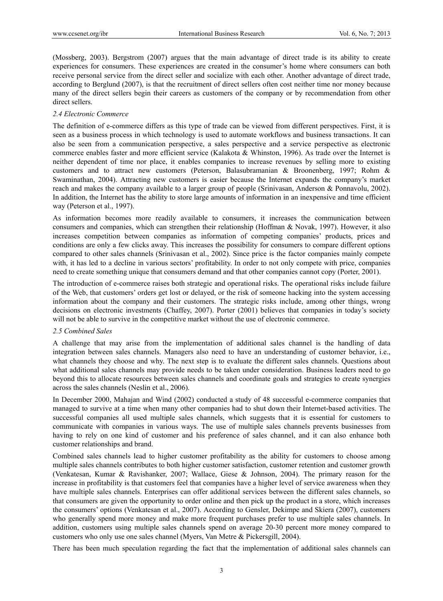(Mossberg, 2003). Bergstrom (2007) argues that the main advantage of direct trade is its ability to create experiences for consumers. These experiences are created in the consumer's home where consumers can both receive personal service from the direct seller and socialize with each other. Another advantage of direct trade, according to Berglund (2007), is that the recruitment of direct sellers often cost neither time nor money because many of the direct sellers begin their careers as customers of the company or by recommendation from other direct sellers.

## *2.4 Electronic Commerce*

The definition of e-commerce differs as this type of trade can be viewed from different perspectives. First, it is seen as a business process in which technology is used to automate workflows and business transactions. It can also be seen from a communication perspective, a sales perspective and a service perspective as electronic commerce enables faster and more efficient service (Kalakota & Whinston, 1996). As trade over the Internet is neither dependent of time nor place, it enables companies to increase revenues by selling more to existing customers and to attract new customers (Peterson, Balasubramanian & Broonenberg, 1997; Rohm & Swaminathan, 2004). Attracting new customers is easier because the Internet expands the company's market reach and makes the company available to a larger group of people (Srinivasan, Anderson & Ponnavolu, 2002). In addition, the Internet has the ability to store large amounts of information in an inexpensive and time efficient way (Peterson et al., 1997).

As information becomes more readily available to consumers, it increases the communication between consumers and companies, which can strengthen their relationship (Hoffman & Novak, 1997). However, it also increases competition between companies as information of competing companies' products, prices and conditions are only a few clicks away. This increases the possibility for consumers to compare different options compared to other sales channels (Srinivasan et al., 2002). Since price is the factor companies mainly compete with, it has led to a decline in various sectors' profitability. In order to not only compete with price, companies need to create something unique that consumers demand and that other companies cannot copy (Porter, 2001).

The introduction of e-commerce raises both strategic and operational risks. The operational risks include failure of the Web, that customers' orders get lost or delayed, or the risk of someone hacking into the system accessing information about the company and their customers. The strategic risks include, among other things, wrong decisions on electronic investments (Chaffey, 2007). Porter (2001) believes that companies in today's society will not be able to survive in the competitive market without the use of electronic commerce.

## *2.5 Combined Sales*

A challenge that may arise from the implementation of additional sales channel is the handling of data integration between sales channels. Managers also need to have an understanding of customer behavior, i.e., what channels they choose and why. The next step is to evaluate the different sales channels. Questions about what additional sales channels may provide needs to be taken under consideration. Business leaders need to go beyond this to allocate resources between sales channels and coordinate goals and strategies to create synergies across the sales channels (Neslin et al., 2006).

In December 2000, Mahajan and Wind (2002) conducted a study of 48 successful e-commerce companies that managed to survive at a time when many other companies had to shut down their Internet-based activities. The successful companies all used multiple sales channels, which suggests that it is essential for customers to communicate with companies in various ways. The use of multiple sales channels prevents businesses from having to rely on one kind of customer and his preference of sales channel, and it can also enhance both customer relationships and brand.

Combined sales channels lead to higher customer profitability as the ability for customers to choose among multiple sales channels contributes to both higher customer satisfaction, customer retention and customer growth (Venkatesan, Kumar & Ravishanker, 2007; Wallace, Giese & Johnson, 2004). The primary reason for the increase in profitability is that customers feel that companies have a higher level of service awareness when they have multiple sales channels. Enterprises can offer additional services between the different sales channels, so that consumers are given the opportunity to order online and then pick up the product in a store, which increases the consumers' options (Venkatesan et al., 2007). According to Gensler, Dekimpe and Skiera (2007), customers who generally spend more money and make more frequent purchases prefer to use multiple sales channels. In addition, customers using multiple sales channels spend on average 20-30 percent more money compared to customers who only use one sales channel (Myers, Van Metre & Pickersgill, 2004).

There has been much speculation regarding the fact that the implementation of additional sales channels can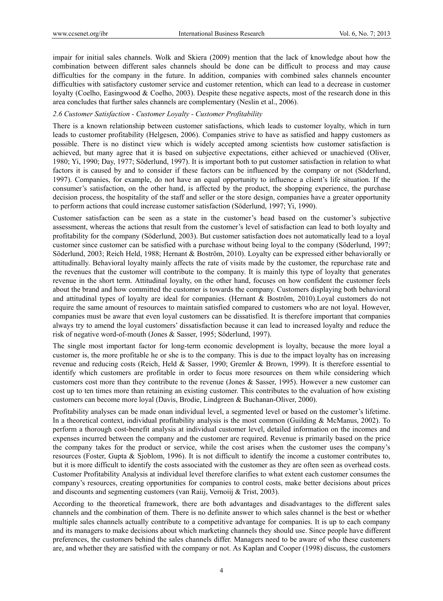impair for initial sales channels. Wolk and Skiera (2009) mention that the lack of knowledge about how the combination between different sales channels should be done can be difficult to process and may cause difficulties for the company in the future. In addition, companies with combined sales channels encounter difficulties with satisfactory customer service and customer retention, which can lead to a decrease in customer loyalty (Coelho, Easingwood & Coelho, 2003). Despite these negative aspects, most of the research done in this area concludes that further sales channels are complementary (Neslin et al., 2006).

#### *2.6 Customer Satisfaction - Customer Loyalty - Customer Profitability*

There is a known relationship between customer satisfactions, which leads to customer loyalty, which in turn leads to customer profitability (Helgesen, 2006). Companies strive to have as satisfied and happy customers as possible. There is no distinct view which is widely accepted among scientists how customer satisfaction is achieved, but many agree that it is based on subjective expectations, either achieved or unachieved (Oliver, 1980; Yi, 1990; Day, 1977; Söderlund, 1997). It is important both to put customer satisfaction in relation to what factors it is caused by and to consider if these factors can be influenced by the company or not (Söderlund, 1997). Companies, for example, do not have an equal opportunity to influence a client's life situation. If the consumer's satisfaction, on the other hand, is affected by the product, the shopping experience, the purchase decision process, the hospitality of the staff and seller or the store design, companies have a greater opportunity to perform actions that could increase customer satisfaction (Söderlund, 1997; Yi, 1990).

Customer satisfaction can be seen as a state in the customer's head based on the customer's subjective assessment, whereas the actions that result from the customer's level of satisfaction can lead to both loyalty and profitability for the company (Söderlund, 2003). But customer satisfaction does not automatically lead to a loyal customer since customer can be satisfied with a purchase without being loyal to the company (Söderlund, 1997; Söderlund, 2003; Reich Held, 1988; Hernant & Boström, 2010). Loyalty can be expressed either behaviorally or attitudinally. Behavioral loyalty mainly affects the rate of visits made by the customer, the repurchase rate and the revenues that the customer will contribute to the company. It is mainly this type of loyalty that generates revenue in the short term. Attitudinal loyalty, on the other hand, focuses on how confident the customer feels about the brand and how committed the customer is towards the company. Customers displaying both behavioral and attitudinal types of loyalty are ideal for companies. (Hernant & Boström, 2010).Loyal customers do not require the same amount of resources to maintain satisfied compared to customers who are not loyal. However, companies must be aware that even loyal customers can be dissatisfied. It is therefore important that companies always try to amend the loyal customers' dissatisfaction because it can lead to increased loyalty and reduce the risk of negative word-of-mouth (Jones & Sasser, 1995; Söderlund, 1997).

The single most important factor for long-term economic development is loyalty, because the more loyal a customer is, the more profitable he or she is to the company. This is due to the impact loyalty has on increasing revenue and reducing costs (Reich, Held & Sasser, 1990; Gremler & Brown, 1999). It is therefore essential to identify which customers are profitable in order to focus more resources on them while considering which customers cost more than they contribute to the revenue (Jones & Sasser, 1995). However a new customer can cost up to ten times more than retaining an existing customer. This contributes to the evaluation of how existing customers can become more loyal (Davis, Brodie, Lindgreen & Buchanan-Oliver, 2000).

Profitability analyses can be made onan individual level, a segmented level or based on the customer's lifetime. In a theoretical context, individual profitability analysis is the most common (Guilding & McManus, 2002). To perform a thorough cost-benefit analysis at individual customer level, detailed information on the incomes and expenses incurred between the company and the customer are required. Revenue is primarily based on the price the company takes for the product or service, while the cost arises when the customer uses the company's resources (Foster, Gupta & Sjoblom, 1996). It is not difficult to identify the income a customer contributes to, but it is more difficult to identify the costs associated with the customer as they are often seen as overhead costs. Customer Profitability Analysis at individual level therefore clarifies to what extent each customer consumes the company's resources, creating opportunities for companies to control costs, make better decisions about prices and discounts and segmenting customers (van Raiij, Vernoiij & Trist, 2003).

According to the theoretical framework, there are both advantages and disadvantages to the different sales channels and the combination of them. There is no definite answer to which sales channel is the best or whether multiple sales channels actually contribute to a competitive advantage for companies. It is up to each company and its managers to make decisions about which marketing channels they should use. Since people have different preferences, the customers behind the sales channels differ. Managers need to be aware of who these customers are, and whether they are satisfied with the company or not. As Kaplan and Cooper (1998) discuss, the customers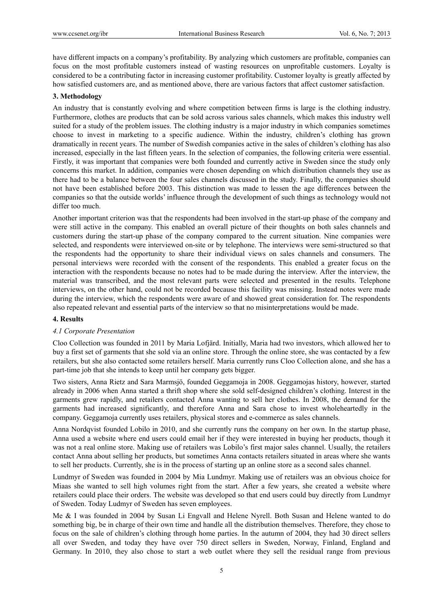have different impacts on a company's profitability. By analyzing which customers are profitable, companies can focus on the most profitable customers instead of wasting resources on unprofitable customers. Loyalty is considered to be a contributing factor in increasing customer profitability. Customer loyalty is greatly affected by how satisfied customers are, and as mentioned above, there are various factors that affect customer satisfaction.

#### **3. Methodology**

An industry that is constantly evolving and where competition between firms is large is the clothing industry. Furthermore, clothes are products that can be sold across various sales channels, which makes this industry well suited for a study of the problem issues. The clothing industry is a major industry in which companies sometimes choose to invest in marketing to a specific audience. Within the industry, children's clothing has grown dramatically in recent years. The number of Swedish companies active in the sales of children's clothing has also increased, especially in the last fifteen years. In the selection of companies, the following criteria were essential. Firstly, it was important that companies were both founded and currently active in Sweden since the study only concerns this market. In addition, companies were chosen depending on which distribution channels they use as there had to be a balance between the four sales channels discussed in the study. Finally, the companies should not have been established before 2003. This distinction was made to lessen the age differences between the companies so that the outside worlds' influence through the development of such things as technology would not differ too much.

Another important criterion was that the respondents had been involved in the start-up phase of the company and were still active in the company. This enabled an overall picture of their thoughts on both sales channels and customers during the start-up phase of the company compared to the current situation. Nine companies were selected, and respondents were interviewed on-site or by telephone. The interviews were semi-structured so that the respondents had the opportunity to share their individual views on sales channels and consumers. The personal interviews were recorded with the consent of the respondents. This enabled a greater focus on the interaction with the respondents because no notes had to be made during the interview. After the interview, the material was transcribed, and the most relevant parts were selected and presented in the results. Telephone interviews, on the other hand, could not be recorded because this facility was missing. Instead notes were made during the interview, which the respondents were aware of and showed great consideration for. The respondents also repeated relevant and essential parts of the interview so that no misinterpretations would be made.

## **4. Results**

## *4.1 Corporate Presentation*

Cloo Collection was founded in 2011 by Maria Lofjärd. Initially, Maria had two investors, which allowed her to buy a first set of garments that she sold via an online store. Through the online store, she was contacted by a few retailers, but she also contacted some retailers herself. Maria currently runs Cloo Collection alone, and she has a part-time job that she intends to keep until her company gets bigger.

Two sisters, Anna Rietz and Sara Marmsjö, founded Geggamoja in 2008. Geggamojas history, however, started already in 2006 when Anna started a thrift shop where she sold self-designed children's clothing. Interest in the garments grew rapidly, and retailers contacted Anna wanting to sell her clothes. In 2008, the demand for the garments had increased significantly, and therefore Anna and Sara chose to invest wholeheartedly in the company. Geggamoja currently uses retailers, physical stores and e-commerce as sales channels.

Anna Nordqvist founded Lobilo in 2010, and she currently runs the company on her own. In the startup phase, Anna used a website where end users could email her if they were interested in buying her products, though it was not a real online store. Making use of retailers was Lobilo's first major sales channel. Usually, the retailers contact Anna about selling her products, but sometimes Anna contacts retailers situated in areas where she wants to sell her products. Currently, she is in the process of starting up an online store as a second sales channel.

Lundmyr of Sweden was founded in 2004 by Mia Lundmyr. Making use of retailers was an obvious choice for Miaas she wanted to sell high volumes right from the start. After a few years, she created a website where retailers could place their orders. The website was developed so that end users could buy directly from Lundmyr of Sweden. Today Ludmyr of Sweden has seven employees.

Me & I was founded in 2004 by Susan Li Engvall and Helene Nyrell. Both Susan and Helene wanted to do something big, be in charge of their own time and handle all the distribution themselves. Therefore, they chose to focus on the sale of children's clothing through home parties. In the autumn of 2004, they had 30 direct sellers all over Sweden, and today they have over 750 direct sellers in Sweden, Norway, Finland, England and Germany. In 2010, they also chose to start a web outlet where they sell the residual range from previous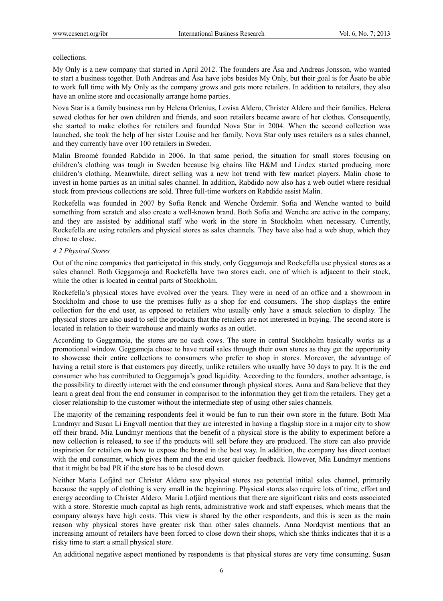#### collections.

My Only is a new company that started in April 2012. The founders are Åsa and Andreas Jonsson, who wanted to start a business together. Both Andreas and Åsa have jobs besides My Only, but their goal is for Åsato be able to work full time with My Only as the company grows and gets more retailers. In addition to retailers, they also have an online store and occasionally arrange home parties.

Nova Star is a family business run by Helena Orlenius, Lovisa Aldero, Christer Aldero and their families. Helena sewed clothes for her own children and friends, and soon retailers became aware of her clothes. Consequently, she started to make clothes for retailers and founded Nova Star in 2004. When the second collection was launched, she took the help of her sister Louise and her family. Nova Star only uses retailers as a sales channel, and they currently have over 100 retailers in Sweden.

Malin Broomé founded Rabdido in 2006. In that same period, the situation for small stores focusing on children's clothing was tough in Sweden because big chains like H&M and Lindex started producing more children's clothing. Meanwhile, direct selling was a new hot trend with few market players. Malin chose to invest in home parties as an initial sales channel. In addition, Rabdido now also has a web outlet where residual stock from previous collections are sold. Three full-time workers on Rabdido assist Malin.

Rockefella was founded in 2007 by Sofia Renck and Wenche Özdemir. Sofia and Wenche wanted to build something from scratch and also create a well-known brand. Both Sofia and Wenche are active in the company, and they are assisted by additional staff who work in the store in Stockholm when necessary. Currently, Rockefella are using retailers and physical stores as sales channels. They have also had a web shop, which they chose to close.

#### *4.2 Physical Stores*

Out of the nine companies that participated in this study, only Geggamoja and Rockefella use physical stores as a sales channel. Both Geggamoja and Rockefella have two stores each, one of which is adjacent to their stock, while the other is located in central parts of Stockholm.

Rockefella's physical stores have evolved over the years. They were in need of an office and a showroom in Stockholm and chose to use the premises fully as a shop for end consumers. The shop displays the entire collection for the end user, as opposed to retailers who usually only have a smack selection to display. The physical stores are also used to sell the products that the retailers are not interested in buying. The second store is located in relation to their warehouse and mainly works as an outlet.

According to Geggamoja, the stores are no cash cows. The store in central Stockholm basically works as a promotional window. Geggamoja chose to have retail sales through their own stores as they get the opportunity to showcase their entire collections to consumers who prefer to shop in stores. Moreover, the advantage of having a retail store is that customers pay directly, unlike retailers who usually have 30 days to pay. It is the end consumer who has contributed to Geggamoja's good liquidity. According to the founders, another advantage, is the possibility to directly interact with the end consumer through physical stores. Anna and Sara believe that they learn a great deal from the end consumer in comparison to the information they get from the retailers. They get a closer relationship to the customer without the intermediate step of using other sales channels.

The majority of the remaining respondents feel it would be fun to run their own store in the future. Both Mia Lundmyr and Susan Li Engvall mention that they are interested in having a flagship store in a major city to show off their brand. Mia Lundmyr mentions that the benefit of a physical store is the ability to experiment before a new collection is released, to see if the products will sell before they are produced. The store can also provide inspiration for retailers on how to expose the brand in the best way. In addition, the company has direct contact with the end consumer, which gives them and the end user quicker feedback. However, Mia Lundmyr mentions that it might be bad PR if the store has to be closed down.

Neither Maria Lofjärd nor Christer Aldero saw physical stores asa potential initial sales channel, primarily because the supply of clothing is very small in the beginning. Physical stores also require lots of time, effort and energy according to Christer Aldero. Maria Lofjärd mentions that there are significant risks and costs associated with a store. Storestie much capital as high rents, administrative work and staff expenses, which means that the company always have high costs. This view is shared by the other respondents, and this is seen as the main reason why physical stores have greater risk than other sales channels. Anna Nordqvist mentions that an increasing amount of retailers have been forced to close down their shops, which she thinks indicates that it is a risky time to start a small physical store.

An additional negative aspect mentioned by respondents is that physical stores are very time consuming. Susan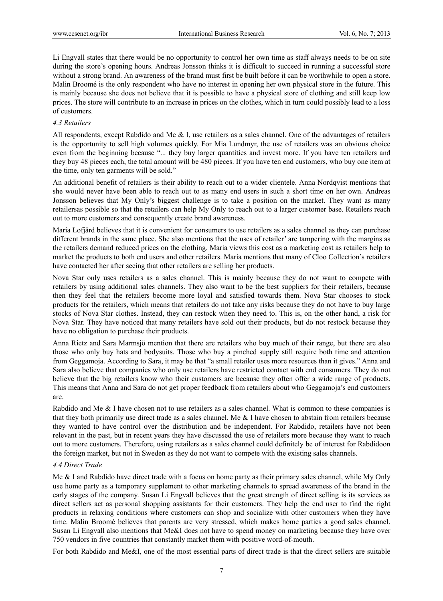Li Engvall states that there would be no opportunity to control her own time as staff always needs to be on site during the store's opening hours. Andreas Jonsson thinks it is difficult to succeed in running a successful store without a strong brand. An awareness of the brand must first be built before it can be worthwhile to open a store. Malin Broomé is the only respondent who have no interest in opening her own physical store in the future. This is mainly because she does not believe that it is possible to have a physical store of clothing and still keep low prices. The store will contribute to an increase in prices on the clothes, which in turn could possibly lead to a loss of customers.

## *4.3 Retailers*

All respondents, except Rabdido and Me & I, use retailers as a sales channel. One of the advantages of retailers is the opportunity to sell high volumes quickly. For Mia Lundmyr, the use of retailers was an obvious choice even from the beginning because "... they buy larger quantities and invest more. If you have ten retailers and they buy 48 pieces each, the total amount will be 480 pieces. If you have ten end customers, who buy one item at the time, only ten garments will be sold."

An additional benefit of retailers is their ability to reach out to a wider clientele. Anna Nordqvist mentions that she would never have been able to reach out to as many end users in such a short time on her own. Andreas Jonsson believes that My Only's biggest challenge is to take a position on the market. They want as many retailersas possible so that the retailers can help My Only to reach out to a larger customer base. Retailers reach out to more customers and consequently create brand awareness.

Maria Lofjärd believes that it is convenient for consumers to use retailers as a sales channel as they can purchase different brands in the same place. She also mentions that the uses of retailer' are tampering with the margins as the retailers demand reduced prices on the clothing. Maria views this cost as a marketing cost as retailers help to market the products to both end users and other retailers. Maria mentions that many of Cloo Collection's retailers have contacted her after seeing that other retailers are selling her products.

Nova Star only uses retailers as a sales channel. This is mainly because they do not want to compete with retailers by using additional sales channels. They also want to be the best suppliers for their retailers, because then they feel that the retailers become more loyal and satisfied towards them. Nova Star chooses to stock products for the retailers, which means that retailers do not take any risks because they do not have to buy large stocks of Nova Star clothes. Instead, they can restock when they need to. This is, on the other hand, a risk for Nova Star. They have noticed that many retailers have sold out their products, but do not restock because they have no obligation to purchase their products.

Anna Rietz and Sara Marmsjö mention that there are retailers who buy much of their range, but there are also those who only buy hats and bodysuits. Those who buy a pinched supply still require both time and attention from Geggamoja. According to Sara, it may be that "a small retailer uses more resources than it gives." Anna and Sara also believe that companies who only use retailers have restricted contact with end consumers. They do not believe that the big retailers know who their customers are because they often offer a wide range of products. This means that Anna and Sara do not get proper feedback from retailers about who Geggamoja's end customers are.

Rabdido and Me & I have chosen not to use retailers as a sales channel. What is common to these companies is that they both primarily use direct trade as a sales channel. Me & I have chosen to abstain from retailers because they wanted to have control over the distribution and be independent. For Rabdido, retailers have not been relevant in the past, but in recent years they have discussed the use of retailers more because they want to reach out to more customers. Therefore, using retailers as a sales channel could definitely be of interest for Rabdidoon the foreign market, but not in Sweden as they do not want to compete with the existing sales channels.

## *4.4 Direct Trade*

Me & I and Rabdido have direct trade with a focus on home party as their primary sales channel, while My Only use home party as a temporary supplement to other marketing channels to spread awareness of the brand in the early stages of the company. Susan Li Engvall believes that the great strength of direct selling is its services as direct sellers act as personal shopping assistants for their customers. They help the end user to find the right products in relaxing conditions where customers can shop and socialize with other customers when they have time. Malin Broomé believes that parents are very stressed, which makes home parties a good sales channel. Susan Li Engvall also mentions that Me&I does not have to spend money on marketing because they have over 750 vendors in five countries that constantly market them with positive word-of-mouth.

For both Rabdido and Me&I, one of the most essential parts of direct trade is that the direct sellers are suitable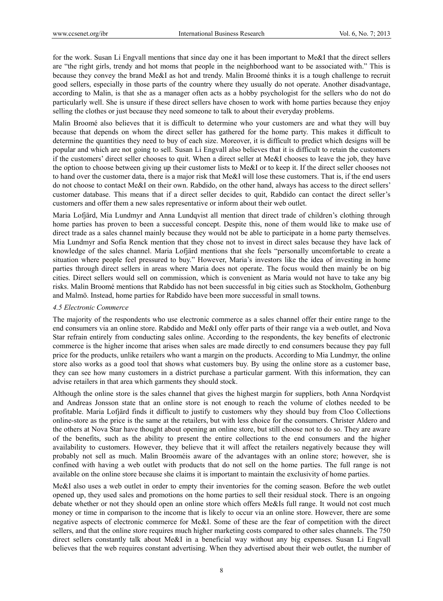for the work. Susan Li Engvall mentions that since day one it has been important to Me&I that the direct sellers are "the right girls, trendy and hot moms that people in the neighborhood want to be associated with." This is because they convey the brand Me&I as hot and trendy. Malin Broomé thinks it is a tough challenge to recruit good sellers, especially in those parts of the country where they usually do not operate. Another disadvantage, according to Malin, is that she as a manager often acts as a hobby psychologist for the sellers who do not do particularly well. She is unsure if these direct sellers have chosen to work with home parties because they enjoy selling the clothes or just because they need someone to talk to about their everyday problems.

Malin Broomé also believes that it is difficult to determine who your customers are and what they will buy because that depends on whom the direct seller has gathered for the home party. This makes it difficult to determine the quantities they need to buy of each size. Moreover, it is difficult to predict which designs will be popular and which are not going to sell. Susan Li Engvall also believes that it is difficult to retain the customers if the customers' direct seller chooses to quit. When a direct seller at Me&I chooses to leave the job, they have the option to choose between giving up their customer lists to Me&I or to keep it. If the direct seller chooses not to hand over the customer data, there is a major risk that Me&I will lose these customers. That is, if the end users do not choose to contact Me&I on their own. Rabdido, on the other hand, always has access to the direct sellers' customer database. This means that if a direct seller decides to quit, Rabdido can contact the direct seller's customers and offer them a new sales representative or inform about their web outlet.

Maria Lofjärd, Mia Lundmyr and Anna Lundqvist all mention that direct trade of children's clothing through home parties has proven to been a successful concept. Despite this, none of them would like to make use of direct trade as a sales channel mainly because they would not be able to participate in a home party themselves. Mia Lundmyr and Sofia Renck mention that they chose not to invest in direct sales because they have lack of knowledge of the sales channel. Maria Lofjärd mentions that she feels "personally uncomfortable to create a situation where people feel pressured to buy." However, Maria's investors like the idea of investing in home parties through direct sellers in areas where Maria does not operate. The focus would then mainly be on big cities. Direct sellers would sell on commission, which is convenient as Maria would not have to take any big risks. Malin Broomé mentions that Rabdido has not been successful in big cities such as Stockholm, Gothenburg and Malmö. Instead, home parties for Rabdido have been more successful in small towns.

## *4.5 Electronic Commerce*

The majority of the respondents who use electronic commerce as a sales channel offer their entire range to the end consumers via an online store. Rabdido and Me&I only offer parts of their range via a web outlet, and Nova Star refrain entirely from conducting sales online. According to the respondents, the key benefits of electronic commerce is the higher income that arises when sales are made directly to end consumers because they pay full price for the products, unlike retailers who want a margin on the products. According to Mia Lundmyr, the online store also works as a good tool that shows what customers buy. By using the online store as a customer base, they can see how many customers in a district purchase a particular garment. With this information, they can advise retailers in that area which garments they should stock.

Although the online store is the sales channel that gives the highest margin for suppliers, both Anna Nordqvist and Andreas Jonsson state that an online store is not enough to reach the volume of clothes needed to be profitable. Maria Lofjärd finds it difficult to justify to customers why they should buy from Cloo Collections online-store as the price is the same at the retailers, but with less choice for the consumers. Christer Aldero and the others at Nova Star have thought about opening an online store, but still choose not to do so. They are aware of the benefits, such as the ability to present the entire collections to the end consumers and the higher availability to customers. However, they believe that it will affect the retailers negatively because they will probably not sell as much. Malin Brooméis aware of the advantages with an online store; however, she is confined with having a web outlet with products that do not sell on the home parties. The full range is not available on the online store because she claims it is important to maintain the exclusivity of home parties.

Me&I also uses a web outlet in order to empty their inventories for the coming season. Before the web outlet opened up, they used sales and promotions on the home parties to sell their residual stock. There is an ongoing debate whether or not they should open an online store which offers Me&Is full range. It would not cost much money or time in comparison to the income that is likely to occur via an online store. However, there are some negative aspects of electronic commerce for Me&I. Some of these are the fear of competition with the direct sellers, and that the online store requires much higher marketing costs compared to other sales channels. The 750 direct sellers constantly talk about Me&I in a beneficial way without any big expenses. Susan Li Engvall believes that the web requires constant advertising. When they advertised about their web outlet, the number of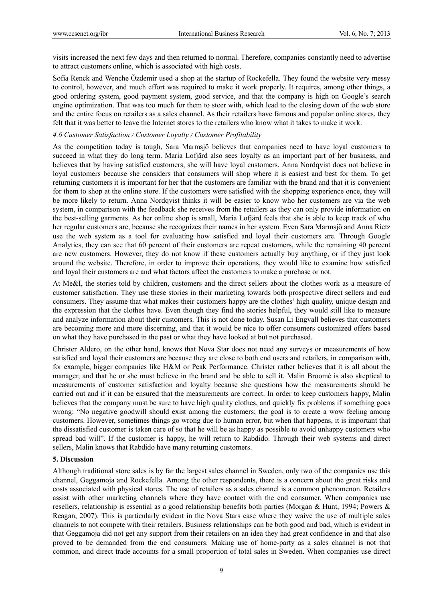visits increased the next few days and then returned to normal. Therefore, companies constantly need to advertise to attract customers online, which is associated with high costs.

Sofia Renck and Wenche Özdemir used a shop at the startup of Rockefella. They found the website very messy to control, however, and much effort was required to make it work properly. It requires, among other things, a good ordering system, good payment system, good service, and that the company is high on Google's search engine optimization. That was too much for them to steer with, which lead to the closing down of the web store and the entire focus on retailers as a sales channel. As their retailers have famous and popular online stores, they felt that it was better to leave the Internet stores to the retailers who know what it takes to make it work.

#### *4.6 Customer Satisfaction / Customer Loyalty / Customer Profitability*

As the competition today is tough, Sara Marmsjö believes that companies need to have loyal customers to succeed in what they do long term. Maria Lofjärd also sees loyalty as an important part of her business, and believes that by having satisfied customers, she will have loyal customers. Anna Nordqvist does not believe in loyal customers because she considers that consumers will shop where it is easiest and best for them. To get returning customers it is important for her that the customers are familiar with the brand and that it is convenient for them to shop at the online store. If the customers were satisfied with the shopping experience once, they will be more likely to return. Anna Nordqvist thinks it will be easier to know who her customers are via the web system, in comparison with the feedback she receives from the retailers as they can only provide information on the best-selling garments. As her online shop is small, Maria Lofjärd feels that she is able to keep track of who her regular customers are, because she recognizes their names in her system. Even Sara Marmsjö and Anna Rietz use the web system as a tool for evaluating how satisfied and loyal their customers are. Through Google Analytics, they can see that 60 percent of their customers are repeat customers, while the remaining 40 percent are new customers. However, they do not know if these customers actually buy anything, or if they just look around the website. Therefore, in order to improve their operations, they would like to examine how satisfied and loyal their customers are and what factors affect the customers to make a purchase or not.

At Me&I, the stories told by children, customers and the direct sellers about the clothes work as a measure of customer satisfaction. They use these stories in their marketing towards both prospective direct sellers and end consumers. They assume that what makes their customers happy are the clothes' high quality, unique design and the expression that the clothes have. Even though they find the stories helpful, they would still like to measure and analyze information about their customers. This is not done today. Susan Li Engvall believes that customers are becoming more and more discerning, and that it would be nice to offer consumers customized offers based on what they have purchased in the past or what they have looked at but not purchased.

Christer Aldero, on the other hand, knows that Nova Star does not need any surveys or measurements of how satisfied and loyal their customers are because they are close to both end users and retailers, in comparison with, for example, bigger companies like H&M or Peak Performance. Christer rather believes that it is all about the manager, and that he or she must believe in the brand and be able to sell it. Malin Broomé is also skeptical to measurements of customer satisfaction and loyalty because she questions how the measurements should be carried out and if it can be ensured that the measurements are correct. In order to keep customers happy, Malin believes that the company must be sure to have high quality clothes, and quickly fix problems if something goes wrong: "No negative goodwill should exist among the customers; the goal is to create a wow feeling among customers. However, sometimes things go wrong due to human error, but when that happens, it is important that the dissatisfied customer is taken care of so that he will be as happy as possible to avoid unhappy customers who spread bad will". If the customer is happy, he will return to Rabdido. Through their web systems and direct sellers, Malin knows that Rabdido have many returning customers.

#### **5. Discussion**

Although traditional store sales is by far the largest sales channel in Sweden, only two of the companies use this channel, Geggamoja and Rockefella. Among the other respondents, there is a concern about the great risks and costs associated with physical stores. The use of retailers as a sales channel is a common phenomenon. Retailers assist with other marketing channels where they have contact with the end consumer. When companies use resellers, relationship is essential as a good relationship benefits both parties (Morgan & Hunt, 1994; Powers & Reagan, 2007). This is particularly evident in the Nova Stars case where they waive the use of multiple sales channels to not compete with their retailers. Business relationships can be both good and bad, which is evident in that Geggamoja did not get any support from their retailers on an idea they had great confidence in and that also proved to be demanded from the end consumers. Making use of home-party as a sales channel is not that common, and direct trade accounts for a small proportion of total sales in Sweden. When companies use direct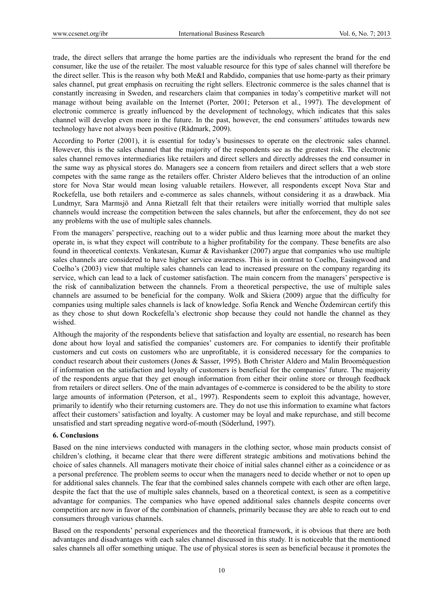trade, the direct sellers that arrange the home parties are the individuals who represent the brand for the end consumer, like the use of the retailer. The most valuable resource for this type of sales channel will therefore be the direct seller. This is the reason why both Me&I and Rabdido, companies that use home-party as their primary sales channel, put great emphasis on recruiting the right sellers. Electronic commerce is the sales channel that is constantly increasing in Sweden, and researchers claim that companies in today's competitive market will not manage without being available on the Internet (Porter, 2001; Peterson et al., 1997). The development of electronic commerce is greatly influenced by the development of technology, which indicates that this sales channel will develop even more in the future. In the past, however, the end consumers' attitudes towards new technology have not always been positive (Rådmark, 2009).

According to Porter (2001), it is essential for today's businesses to operate on the electronic sales channel. However, this is the sales channel that the majority of the respondents see as the greatest risk. The electronic sales channel removes intermediaries like retailers and direct sellers and directly addresses the end consumer in the same way as physical stores do. Managers see a concern from retailers and direct sellers that a web store competes with the same range as the retailers offer. Christer Aldero believes that the introduction of an online store for Nova Star would mean losing valuable retailers. However, all respondents except Nova Star and Rockefella, use both retailers and e-commerce as sales channels, without considering it as a drawback. Mia Lundmyr, Sara Marmsjö and Anna Rietzall felt that their retailers were initially worried that multiple sales channels would increase the competition between the sales channels, but after the enforcement, they do not see any problems with the use of multiple sales channels.

From the managers' perspective, reaching out to a wider public and thus learning more about the market they operate in, is what they expect will contribute to a higher profitability for the company. These benefits are also found in theoretical contexts. Venkatesan, Kumar & Ravishanker (2007) argue that companies who use multiple sales channels are considered to have higher service awareness. This is in contrast to Coelho, Easingwood and Coelho's (2003) view that multiple sales channels can lead to increased pressure on the company regarding its service, which can lead to a lack of customer satisfaction. The main concern from the managers' perspective is the risk of cannibalization between the channels. From a theoretical perspective, the use of multiple sales channels are assumed to be beneficial for the company. Wolk and Skiera (2009) argue that the difficulty for companies using multiple sales channels is lack of knowledge. Sofia Renck and Wenche Özdemircan certify this as they chose to shut down Rockefella's electronic shop because they could not handle the channel as they wished.

Although the majority of the respondents believe that satisfaction and loyalty are essential, no research has been done about how loyal and satisfied the companies' customers are. For companies to identify their profitable customers and cut costs on customers who are unprofitable, it is considered necessary for the companies to conduct research about their customers (Jones & Sasser, 1995). Both Christer Aldero and Malin Brooméquestion if information on the satisfaction and loyalty of customers is beneficial for the companies' future. The majority of the respondents argue that they get enough information from either their online store or through feedback from retailers or direct sellers. One of the main advantages of e-commerce is considered to be the ability to store large amounts of information (Peterson, et al., 1997). Respondents seem to exploit this advantage, however, primarily to identify who their returning customers are. They do not use this information to examine what factors affect their customers' satisfaction and loyalty. A customer may be loyal and make repurchase, and still become unsatisfied and start spreading negative word-of-mouth (Söderlund, 1997).

#### **6. Conclusions**

Based on the nine interviews conducted with managers in the clothing sector, whose main products consist of children's clothing, it became clear that there were different strategic ambitions and motivations behind the choice of sales channels. All managers motivate their choice of initial sales channel either as a coincidence or as a personal preference. The problem seems to occur when the managers need to decide whether or not to open up for additional sales channels. The fear that the combined sales channels compete with each other are often large, despite the fact that the use of multiple sales channels, based on a theoretical context, is seen as a competitive advantage for companies. The companies who have opened additional sales channels despite concerns over competition are now in favor of the combination of channels, primarily because they are able to reach out to end consumers through various channels.

Based on the respondents' personal experiences and the theoretical framework, it is obvious that there are both advantages and disadvantages with each sales channel discussed in this study. It is noticeable that the mentioned sales channels all offer something unique. The use of physical stores is seen as beneficial because it promotes the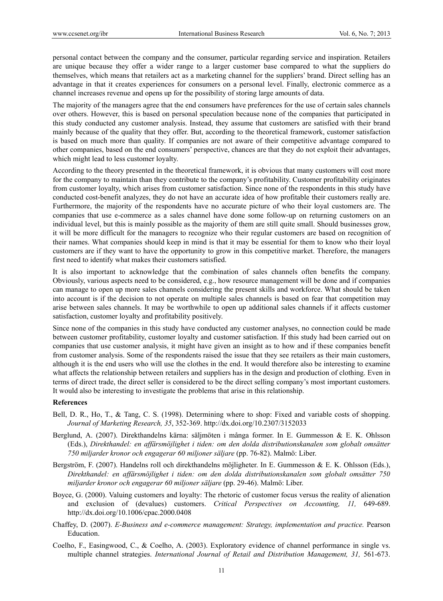personal contact between the company and the consumer, particular regarding service and inspiration. Retailers are unique because they offer a wider range to a larger customer base compared to what the suppliers do themselves, which means that retailers act as a marketing channel for the suppliers' brand. Direct selling has an advantage in that it creates experiences for consumers on a personal level. Finally, electronic commerce as a channel increases revenue and opens up for the possibility of storing large amounts of data.

The majority of the managers agree that the end consumers have preferences for the use of certain sales channels over others. However, this is based on personal speculation because none of the companies that participated in this study conducted any customer analysis. Instead, they assume that customers are satisfied with their brand mainly because of the quality that they offer. But, according to the theoretical framework, customer satisfaction is based on much more than quality. If companies are not aware of their competitive advantage compared to other companies, based on the end consumers' perspective, chances are that they do not exploit their advantages, which might lead to less customer loyalty.

According to the theory presented in the theoretical framework, it is obvious that many customers will cost more for the company to maintain than they contribute to the company's profitability. Customer profitability originates from customer loyalty, which arises from customer satisfaction. Since none of the respondents in this study have conducted cost-benefit analyzes, they do not have an accurate idea of how profitable their customers really are. Furthermore, the majority of the respondents have no accurate picture of who their loyal customers are. The companies that use e-commerce as a sales channel have done some follow-up on returning customers on an individual level, but this is mainly possible as the majority of them are still quite small. Should businesses grow, it will be more difficult for the managers to recognize who their regular customers are based on recognition of their names. What companies should keep in mind is that it may be essential for them to know who their loyal customers are if they want to have the opportunity to grow in this competitive market. Therefore, the managers first need to identify what makes their customers satisfied.

It is also important to acknowledge that the combination of sales channels often benefits the company. Obviously, various aspects need to be considered, e.g., how resource management will be done and if companies can manage to open up more sales channels considering the present skills and workforce. What should be taken into account is if the decision to not operate on multiple sales channels is based on fear that competition may arise between sales channels. It may be worthwhile to open up additional sales channels if it affects customer satisfaction, customer loyalty and profitability positively.

Since none of the companies in this study have conducted any customer analyses, no connection could be made between customer profitability, customer loyalty and customer satisfaction. If this study had been carried out on companies that use customer analysis, it might have given an insight as to how and if these companies benefit from customer analysis. Some of the respondents raised the issue that they see retailers as their main customers, although it is the end users who will use the clothes in the end. It would therefore also be interesting to examine what affects the relationship between retailers and suppliers has in the design and production of clothing. Even in terms of direct trade, the direct seller is considered to be the direct selling company's most important customers. It would also be interesting to investigate the problems that arise in this relationship.

#### **References**

- Bell, D. R., Ho, T., & Tang, C. S. (1998). Determining where to shop: Fixed and variable costs of shopping. *Journal of Marketing Research, 35*, 352-369. http://dx.doi.org/10.2307/3152033
- Berglund, A. (2007). Direkthandelns kärna: säljmöten i många former. In E. Gummesson & E. K. Ohlsson (Eds.), *Direkthandel: en affärsmöjlighet i tiden: om den dolda distributionskanalen som globalt omsätter 750 miljarder kronor och engagerar 60 miljoner säljare* (pp. 76-82). Malmö: Liber.
- Bergström, F. (2007). Handelns roll och direkthandelns möjligheter. In E. Gummesson & E. K. Ohlsson (Eds.), *Direkthandel: en affärsmöjlighet i tiden: om den dolda distributionskanalen som globalt omsätter 750 miljarder kronor och engagerar 60 miljoner säljare* (pp. 29-46). Malmö: Liber.
- Boyce, G. (2000). Valuing customers and loyalty: The rhetoric of customer focus versus the reality of alienation and exclusion of (devalues) customers. *Critical Perspectives on Accounting, 11,* 649-689. http://dx.doi.org/10.1006/cpac.2000.0408
- Chaffey, D. (2007). *E-Business and e-commerce management: Strategy, implementation and practice.* Pearson Education.
- Coelho, F., Easingwood, C., & Coelho, A. (2003). Exploratory evidence of channel performance in single vs. multiple channel strategies. *International Journal of Retail and Distribution Management, 31,* 561-673.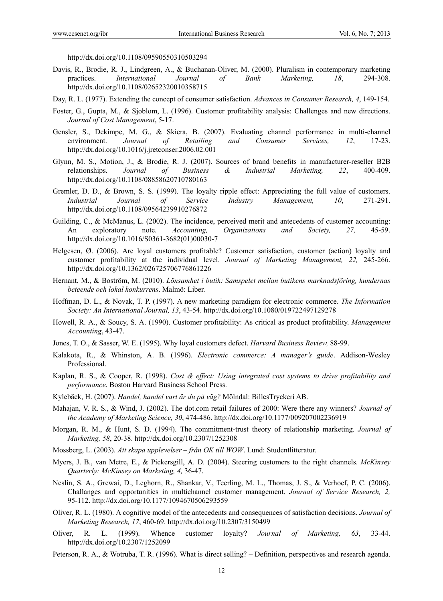http://dx.doi.org/10.1108/09590550310503294

- Davis, R., Brodie, R. J., Lindgreen, A., & Buchanan-Oliver, M. (2000). Pluralism in contemporary marketing practices. *International Journal of Bank Marketing, 18*, 294-308. http://dx.doi.org/10.1108/02652320010358715
- Day, R. L. (1977). Extending the concept of consumer satisfaction. *Advances in Consumer Research, 4*, 149-154.
- Foster, G., Gupta, M., & Sjoblom, L. (1996). Customer profitability analysis: Challenges and new directions. *Journal of Cost Management*, 5-17.
- Gensler, S., Dekimpe, M. G., & Skiera, B. (2007). Evaluating channel performance in multi-channel environment. *Journal of Retailing and Consumer Services, 12*, 17-23. http://dx.doi.org/10.1016/j.jretconser.2006.02.001
- Glynn, M. S., Motion, J., & Brodie, R. J. (2007). Sources of brand benefits in manufacturer-reseller B2B relationships. *Journal of Business & Industrial Marketing, 22*, 400-409. http://dx.doi.org/10.1108/08858620710780163
- Gremler, D. D., & Brown, S. S. (1999). The loyalty ripple effect: Appreciating the full value of customers. *Industrial Journal of Service Industry Management, 10*, 271-291. http://dx.doi.org/10.1108/09564239910276872
- Guilding, C., & McManus, L. (2002). The incidence, perceived merit and antecedents of customer accounting: An exploratory note. *Accounting, Organizations and Society, 27,* 45-59. http://dx.doi.org/10.1016/S0361-3682(01)00030-7
- Helgesen, Ø. (2006). Are loyal customers profitable? Customer satisfaction, customer (action) loyalty and customer profitability at the individual level. *Journal of Marketing Management, 22,* 245-266. http://dx.doi.org/10.1362/026725706776861226
- Hernant, M., & Boström, M. (2010). *Lönsamhet i butik: Samspelet mellan butikens marknadsföring, kundernas beteende och lokal konkurrens*. Malmö: Liber.
- Hoffman, D. L., & Novak, T. P. (1997). A new marketing paradigm for electronic commerce. *The Information Society: An International Journal, 13*, 43-54. http://dx.doi.org/10.1080/019722497129278
- Howell, R. A., & Soucy, S. A. (1990). Customer profitability: As critical as product profitability. *Management Accounting*, 43-47.
- Jones, T. O., & Sasser, W. E. (1995). Why loyal customers defect. *Harvard Business Review,* 88-99.
- Kalakota, R., & Whinston, A. B. (1996). *Electronic commerce : A manager's guide*. Addison-Wesley Professional.
- Kaplan, R. S., & Cooper, R. (1998). *Cost & effect: Using integrated cost systems to drive profitability and performance*. Boston Harvard Business School Press.
- Kylebäck, H. (2007). *Handel, handel vart är du på väg?* Mölndal: BillesTryckeri AB.
- Mahajan, V. R. S., & Wind, J. (2002). The dot.com retail failures of 2000: Were there any winners? *Journal of the Academy of Marketing Science, 30*, 474-486. http://dx.doi.org/10.1177/009207002236919
- Morgan, R. M., & Hunt, S. D. (1994). The commitment-trust theory of relationship marketing. *Journal of Marketing, 58*, 20-38. http://dx.doi.org/10.2307/1252308
- Mossberg, L. (2003). *Att skapa upplevelser från OK till WOW*. Lund: Studentlitteratur.
- Myers, J. B., van Metre, E., & Pickersgill, A. D. (2004). Steering customers to the right channels. *McKinsey Quarterly: McKinsey on Marketing, 4,* 36-47.
- Neslin, S. A., Grewai, D., Leghorn, R., Shankar, V., Teerling, M. L., Thomas, J. S., & Verhoef, P. C. (2006). Challanges and opportunities in multichannel customer management. *Journal of Service Research, 2,* 95-112. http://dx.doi.org/10.1177/1094670506293559
- Oliver, R. L. (1980). A cognitive model of the antecedents and consequences of satisfaction decisions. *Journal of Marketing Research, 17*, 460-69. http://dx.doi.org/10.2307/3150499
- Oliver, R. L. (1999). Whence customer loyalty? *Journal of Marketing, 63*, 33-44. http://dx.doi.org/10.2307/1252099
- Peterson, R. A., & Wotruba, T. R. (1996). What is direct selling? Definition, perspectives and research agenda.